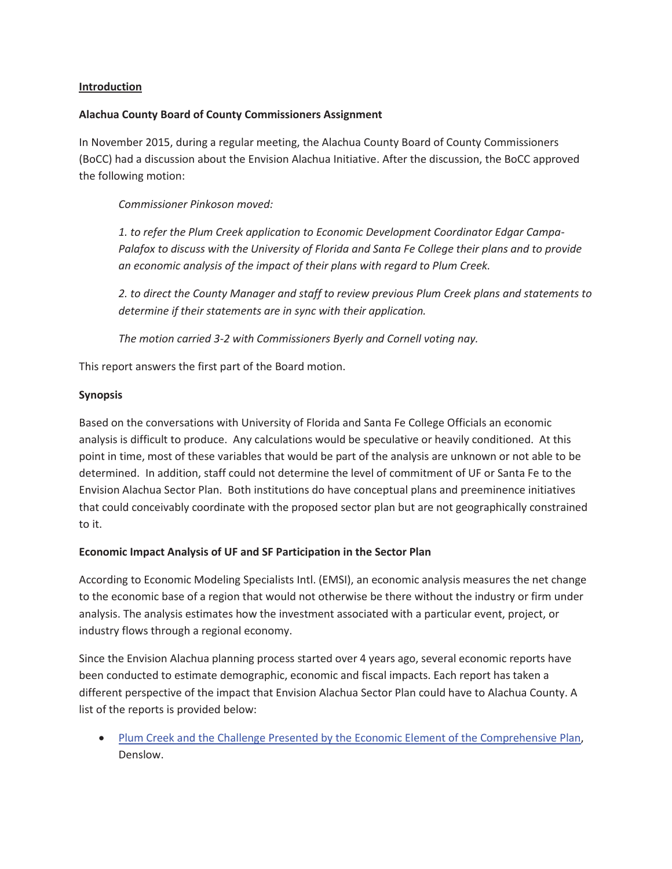### **Introduction**

### **Alachua County Board of County Commissioners Assignment**

In November 2015, during a regular meeting, the Alachua County Board of County Commissioners (BoCC) had a discussion about the Envision Alachua Initiative. After the discussion, the BoCC approved the following motion:

*Commissioner Pinkoson moved:* 

*1. to refer the Plum Creek application to Economic Development Coordinator Edgar Campa-Palafox to discuss with the University of Florida and Santa Fe College their plans and to provide an economic analysis of the impact of their plans with regard to Plum Creek.* 

*2. to direct the County Manager and staff to review previous Plum Creek plans and statements to determine if their statements are in sync with their application.* 

*The motion carried 3-2 with Commissioners Byerly and Cornell voting nay.* 

This report answers the first part of the Board motion.

## **Synopsis**

Based on the conversations with University of Florida and Santa Fe College Officials an economic analysis is difficult to produce. Any calculations would be speculative or heavily conditioned. At this point in time, most of these variables that would be part of the analysis are unknown or not able to be determined. In addition, staff could not determine the level of commitment of UF or Santa Fe to the Envision Alachua Sector Plan. Both institutions do have conceptual plans and preeminence initiatives that could conceivably coordinate with the proposed sector plan but are not geographically constrained to it.

# **Economic Impact Analysis of UF and SF Participation in the Sector Plan**

According to Economic Modeling Specialists Intl. (EMSI), an economic analysis measures the net change to the economic base of a region that would not otherwise be there without the industry or firm under analysis. The analysis estimates how the investment associated with a particular event, project, or industry flows through a regional economy.

Since the Envision Alachua planning process started over 4 years ago, several economic reports have been conducted to estimate demographic, economic and fiscal impacts. Each report has taken a different perspective of the impact that Envision Alachua Sector Plan could have to Alachua County. A list of the reports is provided below:

Plum Creek and the Challenge Presented by the Economic Element of the Comprehensive Plan, Denslow.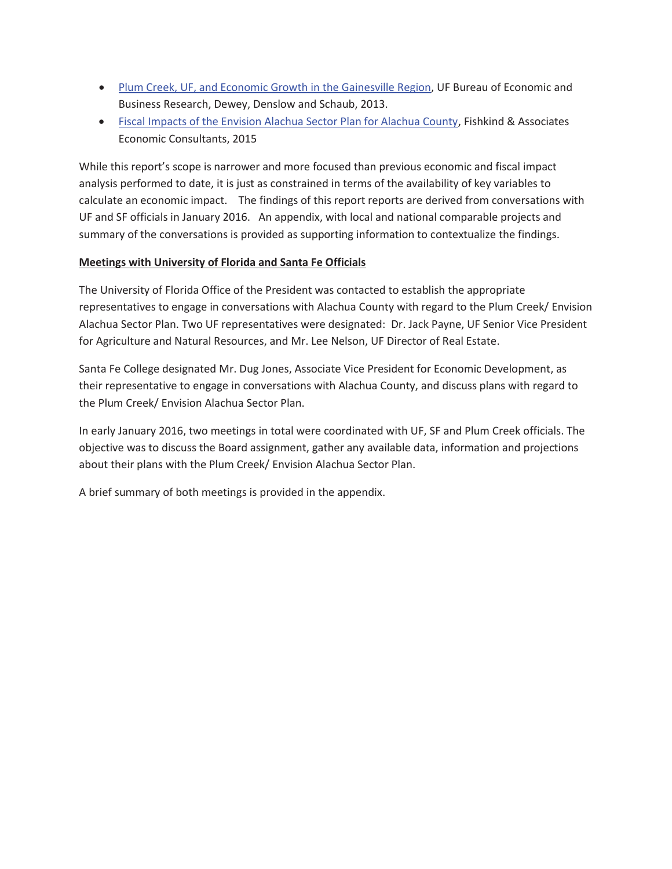- Plum Creek, UF, and Economic Growth in the Gainesville Region, UF Bureau of Economic and Business Research, Dewey, Denslow and Schaub, 2013.
- Fiscal Impacts of the Envision Alachua Sector Plan for Alachua County, Fishkind & Associates Economic Consultants, 2015

While this report's scope is narrower and more focused than previous economic and fiscal impact analysis performed to date, it is just as constrained in terms of the availability of key variables to calculate an economic impact. The findings of this report reports are derived from conversations with UF and SF officials in January 2016. An appendix, with local and national comparable projects and summary of the conversations is provided as supporting information to contextualize the findings.

# **Meetings with University of Florida and Santa Fe Officials**

The University of Florida Office of the President was contacted to establish the appropriate representatives to engage in conversations with Alachua County with regard to the Plum Creek/ Envision Alachua Sector Plan. Two UF representatives were designated: Dr. Jack Payne, UF Senior Vice President for Agriculture and Natural Resources, and Mr. Lee Nelson, UF Director of Real Estate.

Santa Fe College designated Mr. Dug Jones, Associate Vice President for Economic Development, as their representative to engage in conversations with Alachua County, and discuss plans with regard to the Plum Creek/ Envision Alachua Sector Plan.

In early January 2016, two meetings in total were coordinated with UF, SF and Plum Creek officials. The objective was to discuss the Board assignment, gather any available data, information and projections about their plans with the Plum Creek/ Envision Alachua Sector Plan.

A brief summary of both meetings is provided in the appendix.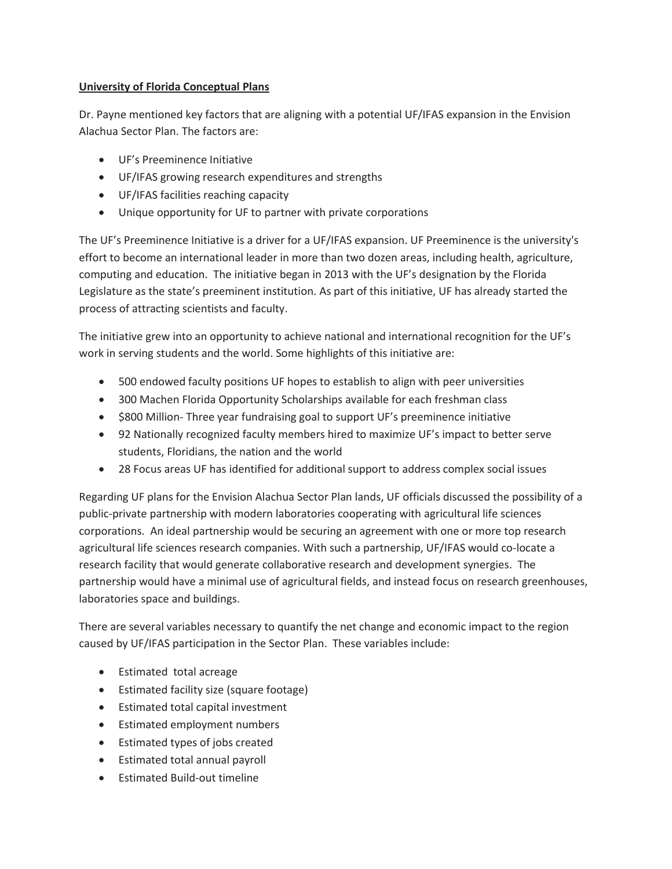# **University of Florida Conceptual Plans**

Dr. Payne mentioned key factors that are aligning with a potential UF/IFAS expansion in the Envision Alachua Sector Plan. The factors are:

- UF's Preeminence Initiative
- UF/IFAS growing research expenditures and strengths
- UF/IFAS facilities reaching capacity
- Unique opportunity for UF to partner with private corporations

The UF's Preeminence Initiative is a driver for a UF/IFAS expansion. UF Preeminence is the university's effort to become an international leader in more than two dozen areas, including health, agriculture, computing and education. The initiative began in 2013 with the UF's designation by the Florida Legislature as the state's preeminent institution. As part of this initiative, UF has already started the process of attracting scientists and faculty.

The initiative grew into an opportunity to achieve national and international recognition for the UF's work in serving students and the world. Some highlights of this initiative are:

- 500 endowed faculty positions UF hopes to establish to align with peer universities
- 300 Machen Florida Opportunity Scholarships available for each freshman class
- \$800 Million- Three year fundraising goal to support UF's preeminence initiative
- 92 Nationally recognized faculty members hired to maximize UF's impact to better serve students, Floridians, the nation and the world
- 28 Focus areas UF has identified for additional support to address complex social issues

Regarding UF plans for the Envision Alachua Sector Plan lands, UF officials discussed the possibility of a public-private partnership with modern laboratories cooperating with agricultural life sciences corporations. An ideal partnership would be securing an agreement with one or more top research agricultural life sciences research companies. With such a partnership, UF/IFAS would co-locate a research facility that would generate collaborative research and development synergies. The partnership would have a minimal use of agricultural fields, and instead focus on research greenhouses, laboratories space and buildings.

There are several variables necessary to quantify the net change and economic impact to the region caused by UF/IFAS participation in the Sector Plan. These variables include:

- Estimated total acreage
- Estimated facility size (square footage)
- Estimated total capital investment
- Estimated employment numbers
- Estimated types of jobs created
- Estimated total annual payroll
- Estimated Build-out timeline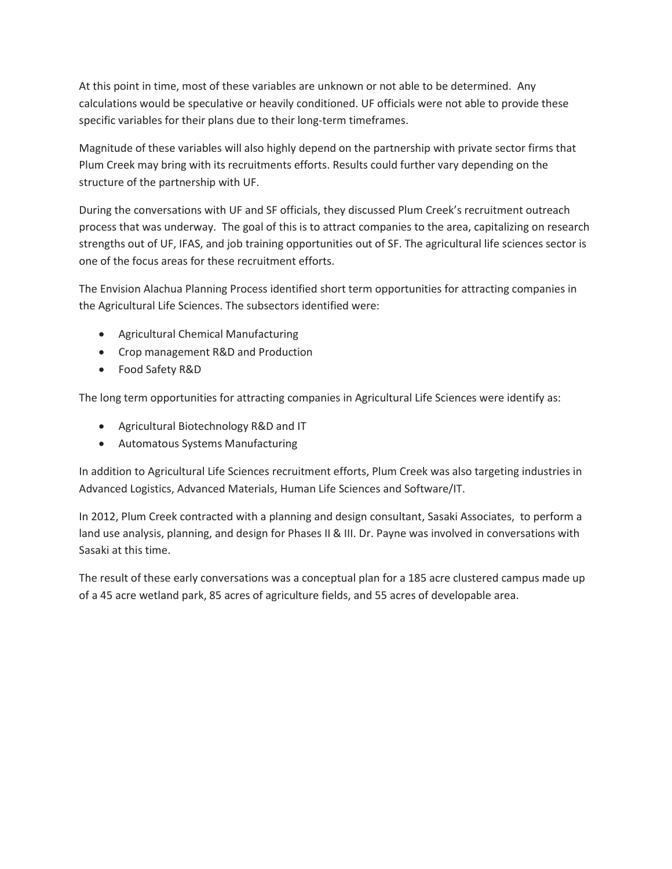At this point in time, most of these variables are unknown or not able to be determined. Any calculations would be speculative or heavily conditioned. UF officials were not able to provide these specific variables for their plans due to their long-term timeframes.

Magnitude of these variables will also highly depend on the partnership with private sector firms that Plum Creek may bring with its recruitments efforts. Results could further vary depending on the structure of the partnership with UF.

During the conversations with UF and SF officials, they discussed Plum Creek's recruitment outreach process that was underway. The goal of this is to attract companies to the area, capitalizing on research strengths out of UF, IFAS, and job training opportunities out of SF. The agricultural life sciences sector is one of the focus areas for these recruitment efforts.

The Envision Alachua Planning Process identified short term opportunities for attracting companies in the Agricultural Life Sciences. The subsectors identified were:

- Agricultural Chemical Manufacturing
- Crop management R&D and Production
- Food Safety R&D

The long term opportunities for attracting companies in Agricultural Life Sciences were identify as:

- Agricultural Biotechnology R&D and IT
- **•** Automatous Systems Manufacturing

In addition to Agricultural Life Sciences recruitment efforts, Plum Creek was also targeting industries in Advanced Logistics, Advanced Materials, Human Life Sciences and Software/IT.

In 2012, Plum Creek contracted with a planning and design consultant, Sasaki Associates, to perform a land use analysis, planning, and design for Phases II & III. Dr. Payne was involved in conversations with Sasaki at this time.

The result of these early conversations was a conceptual plan for a 185 acre clustered campus made up of a 45 acre wetland park, 85 acres of agriculture fields, and 55 acres of developable area.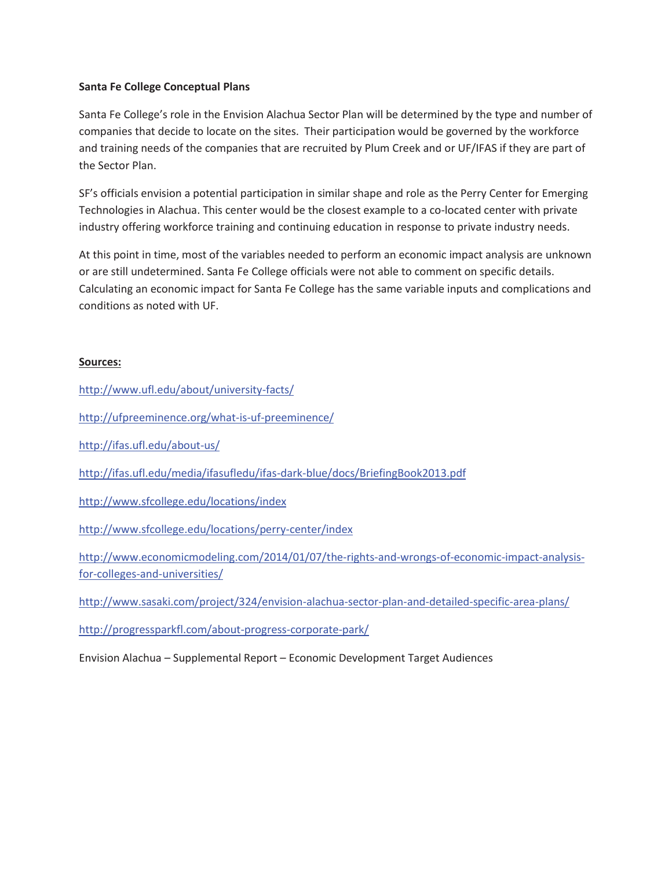### **Santa Fe College Conceptual Plans**

Santa Fe College's role in the Envision Alachua Sector Plan will be determined by the type and number of companies that decide to locate on the sites. Their participation would be governed by the workforce and training needs of the companies that are recruited by Plum Creek and or UF/IFAS if they are part of the Sector Plan.

SF's officials envision a potential participation in similar shape and role as the Perry Center for Emerging Technologies in Alachua. This center would be the closest example to a co-located center with private industry offering workforce training and continuing education in response to private industry needs.

At this point in time, most of the variables needed to perform an economic impact analysis are unknown or are still undetermined. Santa Fe College officials were not able to comment on specific details. Calculating an economic impact for Santa Fe College has the same variable inputs and complications and conditions as noted with UF.

## **Sources:**

http://www.ufl.edu/about/university-facts/

http://ufpreeminence.org/what-is-uf-preeminence/

http://ifas.ufl.edu/about-us/

http://ifas.ufl.edu/media/ifasufledu/ifas-dark-blue/docs/BriefingBook2013.pdf

http://www.sfcollege.edu/locations/index

http://www.sfcollege.edu/locations/perry-center/index

http://www.economicmodeling.com/2014/01/07/the-rights-and-wrongs-of-economic-impact-analysisfor-colleges-and-universities/

http://www.sasaki.com/project/324/envision-alachua-sector-plan-and-detailed-specific-area-plans/

http://progressparkfl.com/about-progress-corporate-park/

Envision Alachua – Supplemental Report – Economic Development Target Audiences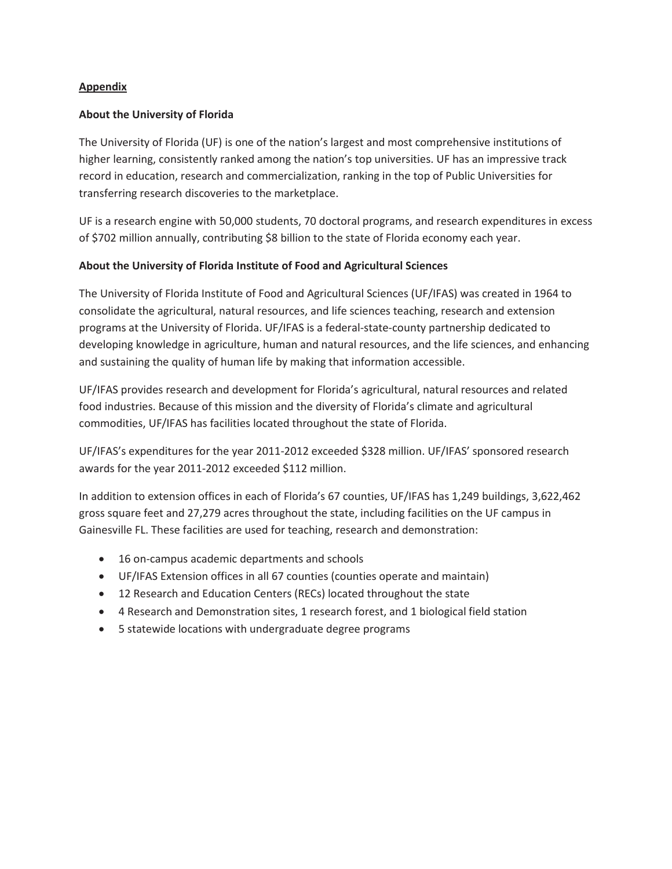## **Appendix**

## **About the University of Florida**

The University of Florida (UF) is one of the nation's largest and most comprehensive institutions of higher learning, consistently ranked among the nation's top universities. UF has an impressive track record in education, research and commercialization, ranking in the top of Public Universities for transferring research discoveries to the marketplace.

UF is a research engine with 50,000 students, 70 doctoral programs, and research expenditures in excess of \$702 million annually, contributing \$8 billion to the state of Florida economy each year.

## **About the University of Florida Institute of Food and Agricultural Sciences**

The University of Florida Institute of Food and Agricultural Sciences (UF/IFAS) was created in 1964 to consolidate the agricultural, natural resources, and life sciences teaching, research and extension programs at the University of Florida. UF/IFAS is a federal-state-county partnership dedicated to developing knowledge in agriculture, human and natural resources, and the life sciences, and enhancing and sustaining the quality of human life by making that information accessible.

UF/IFAS provides research and development for Florida's agricultural, natural resources and related food industries. Because of this mission and the diversity of Florida's climate and agricultural commodities, UF/IFAS has facilities located throughout the state of Florida.

UF/IFAS's expenditures for the year 2011-2012 exceeded \$328 million. UF/IFAS' sponsored research awards for the year 2011-2012 exceeded \$112 million.

In addition to extension offices in each of Florida's 67 counties, UF/IFAS has 1,249 buildings, 3,622,462 gross square feet and 27,279 acres throughout the state, including facilities on the UF campus in Gainesville FL. These facilities are used for teaching, research and demonstration:

- 16 on-campus academic departments and schools
- x UF/IFAS Extension offices in all 67 counties (counties operate and maintain)
- 12 Research and Education Centers (RECs) located throughout the state
- 4 Research and Demonstration sites, 1 research forest, and 1 biological field station
- 5 statewide locations with undergraduate degree programs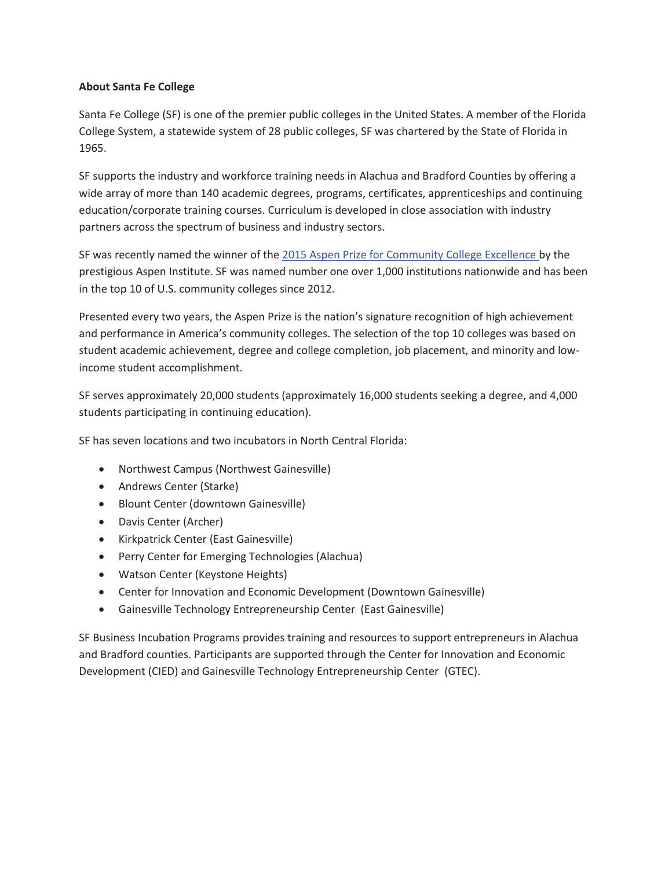### **About Santa Fe College**

Santa Fe College (SF) is one of the premier public colleges in the United States. A member of the Florida College System, a statewide system of 28 public colleges, SF was chartered by the State of Florida in 1965.

SF supports the industry and workforce training needs in Alachua and Bradford Counties by offering a wide array of more than 140 academic degrees, programs, certificates, apprenticeships and continuing education/corporate training courses. Curriculum is developed in close association with industry partners across the spectrum of business and industry sectors.

SF was recently named the winner of the 2015 Aspen Prize for Community College Excellence by the prestigious Aspen Institute. SF was named number one over 1,000 institutions nationwide and has been in the top 10 of U.S. community colleges since 2012.

Presented every two years, the Aspen Prize is the nation's signature recognition of high achievement and performance in America's community colleges. The selection of the top 10 colleges was based on student academic achievement, degree and college completion, job placement, and minority and lowincome student accomplishment.

SF serves approximately 20,000 students (approximately 16,000 students seeking a degree, and 4,000 students participating in continuing education).

SF has seven locations and two incubators in North Central Florida:

- Northwest Campus (Northwest Gainesville)
- Andrews Center (Starke)
- Blount Center (downtown Gainesville)
- Davis Center (Archer)
- Kirkpatrick Center (East Gainesville)
- Perry Center for Emerging Technologies (Alachua)
- Watson Center (Keystone Heights)
- Center for Innovation and Economic Development (Downtown Gainesville)
- Gainesville Technology Entrepreneurship Center (East Gainesville)

SF Business Incubation Programs provides training and resources to support entrepreneurs in Alachua and Bradford counties. Participants are supported through the Center for Innovation and Economic Development (CIED) and Gainesville Technology Entrepreneurship Center (GTEC).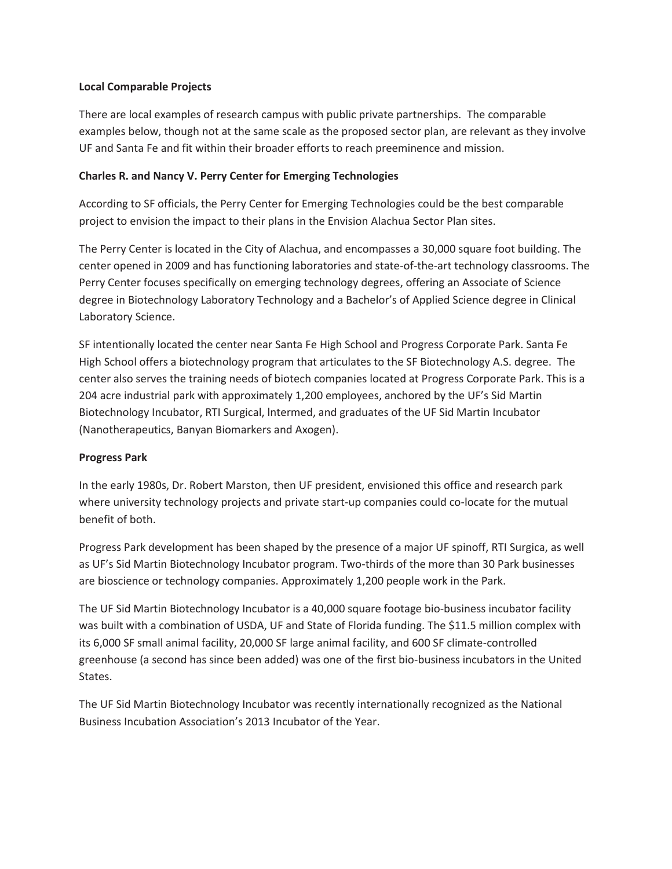### **Local Comparable Projects**

There are local examples of research campus with public private partnerships. The comparable examples below, though not at the same scale as the proposed sector plan, are relevant as they involve UF and Santa Fe and fit within their broader efforts to reach preeminence and mission.

### **Charles R. and Nancy V. Perry Center for Emerging Technologies**

According to SF officials, the Perry Center for Emerging Technologies could be the best comparable project to envision the impact to their plans in the Envision Alachua Sector Plan sites.

The Perry Center is located in the City of Alachua, and encompasses a 30,000 square foot building. The center opened in 2009 and has functioning laboratories and state-of-the-art technology classrooms. The Perry Center focuses specifically on emerging technology degrees, offering an Associate of Science degree in Biotechnology Laboratory Technology and a Bachelor's of Applied Science degree in Clinical Laboratory Science.

SF intentionally located the center near Santa Fe High School and Progress Corporate Park. Santa Fe High School offers a biotechnology program that articulates to the SF Biotechnology A.S. degree. The center also serves the training needs of biotech companies located at Progress Corporate Park. This is a 204 acre industrial park with approximately 1,200 employees, anchored by the UF's Sid Martin Biotechnology Incubator, RTI Surgical, lntermed, and graduates of the UF Sid Martin Incubator (Nanotherapeutics, Banyan Biomarkers and Axogen).

### **Progress Park**

In the early 1980s, Dr. Robert Marston, then UF president, envisioned this office and research park where university technology projects and private start-up companies could co-locate for the mutual benefit of both.

Progress Park development has been shaped by the presence of a major UF spinoff, RTI Surgica, as well as UF's Sid Martin Biotechnology Incubator program. Two-thirds of the more than 30 Park businesses are bioscience or technology companies. Approximately 1,200 people work in the Park.

The UF Sid Martin Biotechnology Incubator is a 40,000 square footage bio-business incubator facility was built with a combination of USDA, UF and State of Florida funding. The \$11.5 million complex with its 6,000 SF small animal facility, 20,000 SF large animal facility, and 600 SF climate-controlled greenhouse (a second has since been added) was one of the first bio-business incubators in the United States.

The UF Sid Martin Biotechnology Incubator was recently internationally recognized as the National Business Incubation Association's 2013 Incubator of the Year.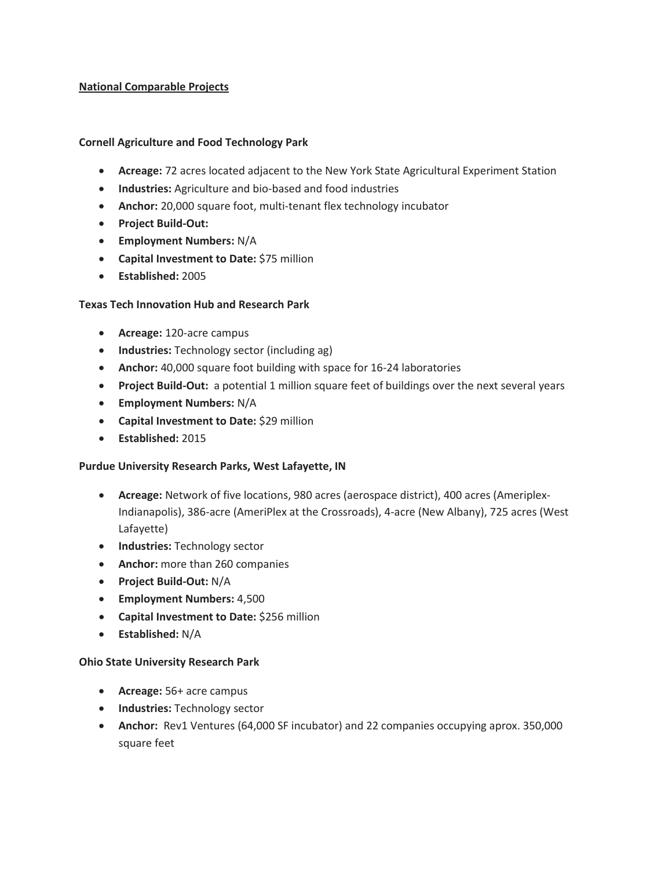### **National Comparable Projects**

#### **Cornell Agriculture and Food Technology Park**

- **Acreage:** 72 acres located adjacent to the New York State Agricultural Experiment Station
- **Industries:** Agriculture and bio-based and food industries
- Anchor: 20,000 square foot, multi-tenant flex technology incubator
- x **Project Build-Out:**
- x **Employment Numbers:** N/A
- **•** Capital Investment to Date: \$75 million
- x **Established:** 2005

#### **Texas Tech Innovation Hub and Research Park**

- x **Acreage:** 120-acre campus
- **Industries:** Technology sector (including ag)
- Anchor: 40,000 square foot building with space for 16-24 laboratories
- **Project Build-Out:** a potential 1 million square feet of buildings over the next several years
- x **Employment Numbers:** N/A
- **•** Capital Investment to Date: \$29 million
- x **Established:** 2015

### **Purdue University Research Parks, West Lafayette, IN**

- **Acreage:** Network of five locations, 980 acres (aerospace district), 400 acres (Ameriplex-Indianapolis), 386-acre (AmeriPlex at the Crossroads), 4-acre (New Albany), 725 acres (West Lafayette)
- **•** Industries: Technology sector
- **Anchor:** more than 260 companies
- x **Project Build-Out:** N/A
- x **Employment Numbers:** 4,500
- **Capital Investment to Date:** \$256 million
- x **Established:** N/A

#### **Ohio State University Research Park**

- **•** Acreage: 56+ acre campus
- **•** Industries: Technology sector
- **Anchor:** Rev1 Ventures (64,000 SF incubator) and 22 companies occupying aprox. 350,000 square feet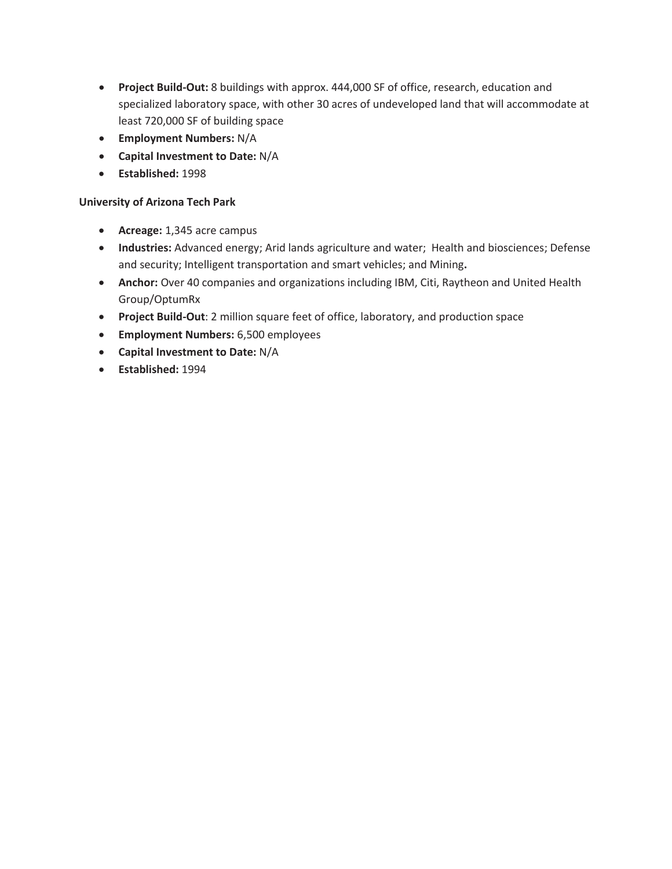- **Project Build-Out:** 8 buildings with approx. 444,000 SF of office, research, education and specialized laboratory space, with other 30 acres of undeveloped land that will accommodate at least 720,000 SF of building space
- x **Employment Numbers:** N/A
- x **Capital Investment to Date:** N/A
- x **Established:** 1998

## **University of Arizona Tech Park**

- **•** Acreage: 1,345 acre campus
- **Industries:** Advanced energy; Arid lands agriculture and water; Health and biosciences; Defense and security; Intelligent transportation and smart vehicles; and Mining**.**
- **Anchor:** Over 40 companies and organizations including IBM, Citi, Raytheon and United Health Group/OptumRx
- **Project Build-Out**: 2 million square feet of office, laboratory, and production space
- **•** Employment Numbers: 6,500 employees
- x **Capital Investment to Date:** N/A
- x **Established:** 1994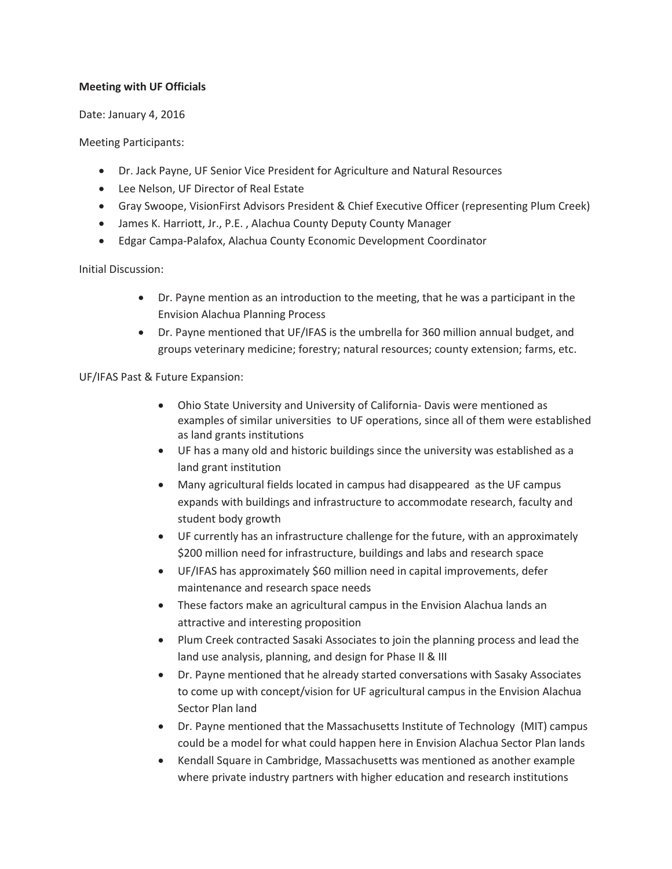## **Meeting with UF Officials**

Date: January 4, 2016

Meeting Participants:

- Dr. Jack Payne, UF Senior Vice President for Agriculture and Natural Resources
- **•** Lee Nelson, UF Director of Real Estate
- Gray Swoope, VisionFirst Advisors President & Chief Executive Officer (representing Plum Creek)
- James K. Harriott, Jr., P.E., Alachua County Deputy County Manager
- Edgar Campa-Palafox, Alachua County Economic Development Coordinator

Initial Discussion:

- $\bullet$  Dr. Payne mention as an introduction to the meeting, that he was a participant in the Envision Alachua Planning Process
- Dr. Payne mentioned that UF/IFAS is the umbrella for 360 million annual budget, and groups veterinary medicine; forestry; natural resources; county extension; farms, etc.

UF/IFAS Past & Future Expansion:

- Ohio State University and University of California- Davis were mentioned as examples of similar universities to UF operations, since all of them were established as land grants institutions
- UF has a many old and historic buildings since the university was established as a land grant institution
- Many agricultural fields located in campus had disappeared as the UF campus expands with buildings and infrastructure to accommodate research, faculty and student body growth
- UF currently has an infrastructure challenge for the future, with an approximately \$200 million need for infrastructure, buildings and labs and research space
- UF/IFAS has approximately \$60 million need in capital improvements, defer maintenance and research space needs
- These factors make an agricultural campus in the Envision Alachua lands an attractive and interesting proposition
- Plum Creek contracted Sasaki Associates to join the planning process and lead the land use analysis, planning, and design for Phase II & III
- Dr. Payne mentioned that he already started conversations with Sasaky Associates to come up with concept/vision for UF agricultural campus in the Envision Alachua Sector Plan land
- Dr. Payne mentioned that the Massachusetts Institute of Technology (MIT) campus could be a model for what could happen here in Envision Alachua Sector Plan lands
- Kendall Square in Cambridge, Massachusetts was mentioned as another example where private industry partners with higher education and research institutions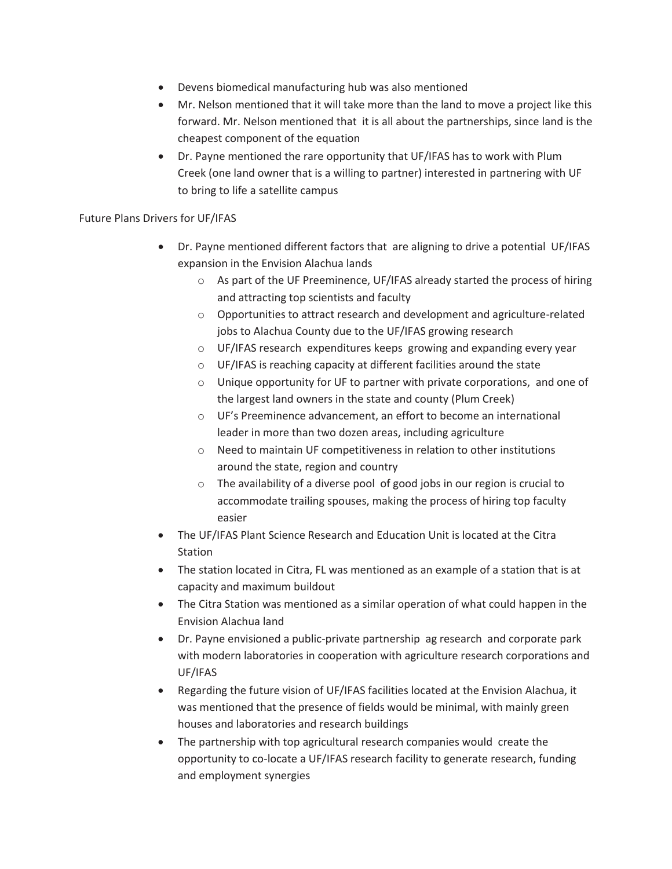- Devens biomedical manufacturing hub was also mentioned
- Mr. Nelson mentioned that it will take more than the land to move a project like this forward. Mr. Nelson mentioned that it is all about the partnerships, since land is the cheapest component of the equation
- Dr. Payne mentioned the rare opportunity that UF/IFAS has to work with Plum Creek (one land owner that is a willing to partner) interested in partnering with UF to bring to life a satellite campus

## Future Plans Drivers for UF/IFAS

- Dr. Payne mentioned different factors that are aligning to drive a potential UF/IFAS expansion in the Envision Alachua lands
	- $\circ$  As part of the UF Preeminence, UF/IFAS already started the process of hiring and attracting top scientists and faculty
	- o Opportunities to attract research and development and agriculture-related jobs to Alachua County due to the UF/IFAS growing research
	- o UF/IFAS research expenditures keeps growing and expanding every year
	- o UF/IFAS is reaching capacity at different facilities around the state
	- o Unique opportunity for UF to partner with private corporations, and one of the largest land owners in the state and county (Plum Creek)
	- o UF's Preeminence advancement, an effort to become an international leader in more than two dozen areas, including agriculture
	- o Need to maintain UF competitiveness in relation to other institutions around the state, region and country
	- o The availability of a diverse pool of good jobs in our region is crucial to accommodate trailing spouses, making the process of hiring top faculty easier
- The UF/IFAS Plant Science Research and Education Unit is located at the Citra Station
- The station located in Citra, FL was mentioned as an example of a station that is at capacity and maximum buildout
- The Citra Station was mentioned as a similar operation of what could happen in the Envision Alachua land
- Dr. Payne envisioned a public-private partnership ag research and corporate park with modern laboratories in cooperation with agriculture research corporations and UF/IFAS
- Regarding the future vision of UF/IFAS facilities located at the Envision Alachua, it was mentioned that the presence of fields would be minimal, with mainly green houses and laboratories and research buildings
- The partnership with top agricultural research companies would create the opportunity to co-locate a UF/IFAS research facility to generate research, funding and employment synergies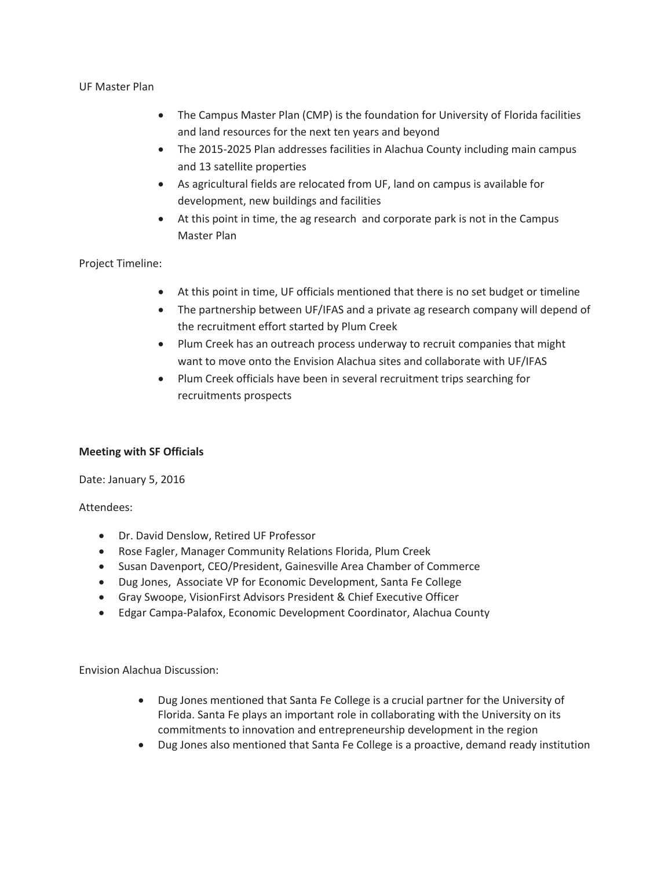#### UF Master Plan

- The Campus Master Plan (CMP) is the foundation for University of Florida facilities and land resources for the next ten years and beyond
- The 2015-2025 Plan addresses facilities in Alachua County including main campus and 13 satellite properties
- As agricultural fields are relocated from UF, land on campus is available for development, new buildings and facilities
- At this point in time, the ag research and corporate park is not in the Campus Master Plan

## Project Timeline:

- At this point in time, UF officials mentioned that there is no set budget or timeline
- The partnership between UF/IFAS and a private ag research company will depend of the recruitment effort started by Plum Creek
- Plum Creek has an outreach process underway to recruit companies that might want to move onto the Envision Alachua sites and collaborate with UF/IFAS
- Plum Creek officials have been in several recruitment trips searching for recruitments prospects

### **Meeting with SF Officials**

Date: January 5, 2016

Attendees:

- Dr. David Denslow, Retired UF Professor
- Rose Fagler, Manager Community Relations Florida, Plum Creek
- Susan Davenport, CEO/President, Gainesville Area Chamber of Commerce
- Dug Jones, Associate VP for Economic Development, Santa Fe College
- Gray Swoope, VisionFirst Advisors President & Chief Executive Officer
- Edgar Campa-Palafox, Economic Development Coordinator, Alachua County

Envision Alachua Discussion:

- Dug Jones mentioned that Santa Fe College is a crucial partner for the University of Florida. Santa Fe plays an important role in collaborating with the University on its commitments to innovation and entrepreneurship development in the region
- Dug Jones also mentioned that Santa Fe College is a proactive, demand ready institution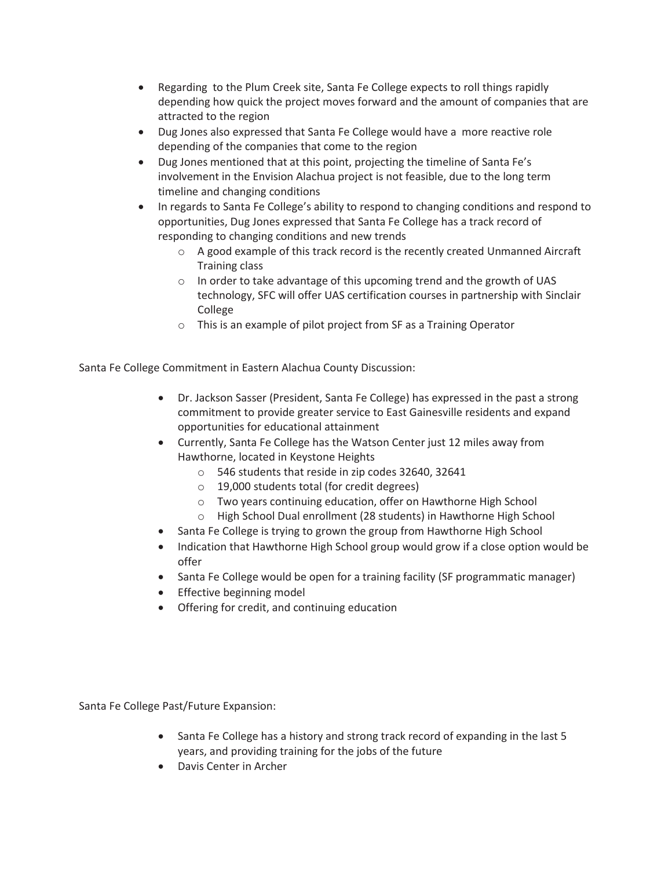- Regarding to the Plum Creek site, Santa Fe College expects to roll things rapidly depending how quick the project moves forward and the amount of companies that are attracted to the region
- Dug Jones also expressed that Santa Fe College would have a more reactive role depending of the companies that come to the region
- Dug Jones mentioned that at this point, projecting the timeline of Santa Fe's involvement in the Envision Alachua project is not feasible, due to the long term timeline and changing conditions
- In regards to Santa Fe College's ability to respond to changing conditions and respond to opportunities, Dug Jones expressed that Santa Fe College has a track record of responding to changing conditions and new trends
	- o A good example of this track record is the recently created Unmanned Aircraft Training class
	- o In order to take advantage of this upcoming trend and the growth of UAS technology, SFC will offer UAS certification courses in partnership with Sinclair College
	- o This is an example of pilot project from SF as a Training Operator

Santa Fe College Commitment in Eastern Alachua County Discussion:

- Dr. Jackson Sasser (President, Santa Fe College) has expressed in the past a strong commitment to provide greater service to East Gainesville residents and expand opportunities for educational attainment
- Currently, Santa Fe College has the Watson Center just 12 miles away from Hawthorne, located in Keystone Heights
	- o 546 students that reside in zip codes 32640, 32641
	- o 19,000 students total (for credit degrees)
	- o Two years continuing education, offer on Hawthorne High School
	- o High School Dual enrollment (28 students) in Hawthorne High School
- Santa Fe College is trying to grown the group from Hawthorne High School
- Indication that Hawthorne High School group would grow if a close option would be offer
- Santa Fe College would be open for a training facility (SF programmatic manager)
- Effective beginning model
- Offering for credit, and continuing education

Santa Fe College Past/Future Expansion:

- Santa Fe College has a history and strong track record of expanding in the last 5 years, and providing training for the jobs of the future
- Davis Center in Archer